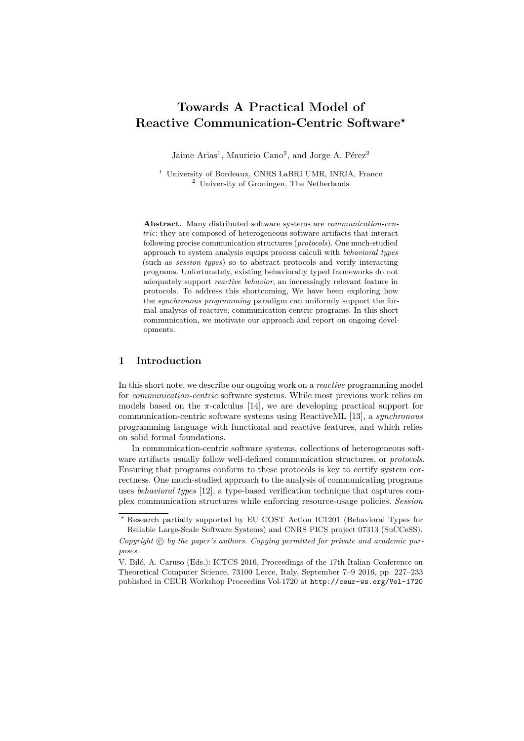# **Towards A Practical Model of Reactive Communication-Centric Software***?*

Jaime Arias<sup>1</sup>, Mauricio Cano<sup>2</sup>, and Jorge A. Pérez<sup>2</sup>

<sup>1</sup> University of Bordeaux, CNRS LaBRI UMR, INRIA, France <sup>2</sup> University of Groningen, The Netherlands

**Abstract.** Many distributed software systems are *communication-centric*: they are composed of heterogeneous software artifacts that interact following precise communication structures (*protocols*). One much-studied approach to system analysis equips process calculi with *behavioral types* (such as *session types*) so to abstract protocols and verify interacting programs. Unfortunately, existing behaviorally typed frameworks do not adequately support *reactive behavior*, an increasingly relevant feature in protocols. To address this shortcoming, We have been exploring how the *synchronous programming* paradigm can uniformly support the formal analysis of reactive, communication-centric programs. In this short communication, we motivate our approach and report on ongoing developments.

### **1 Introduction**

In this short note, we describe our ongoing work on a *reactive* programming model for *communication-centric* software systems. While most previous work relies on models based on the  $\pi$ -calculus [\[14\]](#page-6-0), we are developing practical support for communication-centric software systems using ReactiveML [\[13\]](#page-6-1), a *synchronous* programming language with functional and reactive features, and which relies on solid formal foundations.

In communication-centric software systems, collections of heterogeneous software artifacts usually follow well-defined communication structures, or *protocols*. Ensuring that programs conform to these protocols is key to certify system correctness. One much-studied approach to the analysis of communicating programs uses *behavioral types* [\[12\]](#page-5-0), a type-based verification technique that captures complex communication structures while enforcing resource-usage policies. *Session*

*<sup>?</sup>* Research partially supported by EU COST Action IC1201 (Behavioral Types for Reliable Large-Scale Software Systems) and CNRS PICS project 07313 (SuCCeSS).

Copyright  $\odot$  by the paper's authors. Copying permitted for private and academic pur*poses.*

V. Biló, A. Caruso (Eds.): ICTCS 2016, Proceedings of the 17th Italian Conference on Theoretical Computer Science, 73100 Lecce, Italy, September 7–9 2016, pp. 227[–233](#page-6-2) published in CEUR Workshop Proceedins Vol-1720 at <http://ceur-ws.org/Vol-1720>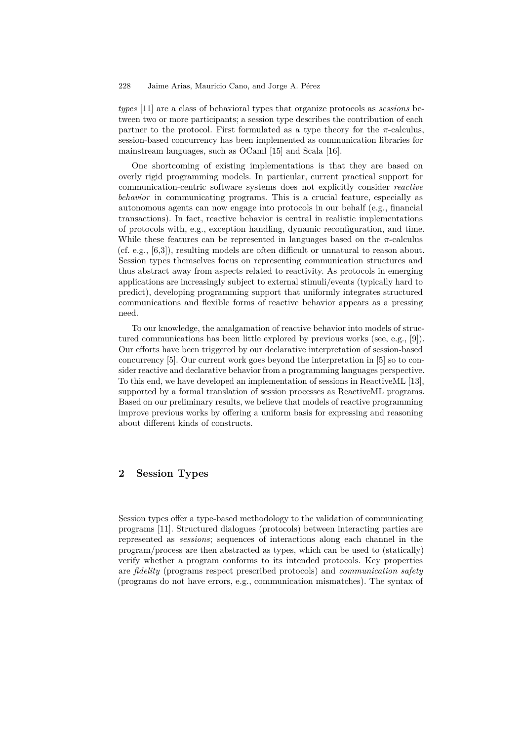#### 228 Jaime Arias, Mauricio Cano, and Jorge A. Pérez

*types* [\[11\]](#page-5-1) are a class of behavioral types that organize protocols as *sessions* between two or more participants; a session type describes the contribution of each partner to the protocol. First formulated as a type theory for the  $\pi$ -calculus, session-based concurrency has been implemented as communication libraries for mainstream languages, such as OCaml [\[15\]](#page-6-3) and Scala [\[16\]](#page-6-4).

One shortcoming of existing implementations is that they are based on overly rigid programming models. In particular, current practical support for communication-centric software systems does not explicitly consider *reactive behavior* in communicating programs. This is a crucial feature, especially as autonomous agents can now engage into protocols in our behalf (e.g., financial transactions). In fact, reactive behavior is central in realistic implementations of protocols with, e.g., exception handling, dynamic reconfiguration, and time. While these features can be represented in languages based on the  $\pi$ -calculus (cf. e.g., [\[6](#page-5-2)[,3\]](#page-5-3)), resulting models are often difficult or unnatural to reason about. Session types themselves focus on representing communication structures and thus abstract away from aspects related to reactivity. As protocols in emerging applications are increasingly subject to external stimuli/events (typically hard to predict), developing programming support that uniformly integrates structured communications and flexible forms of reactive behavior appears as a pressing need.

To our knowledge, the amalgamation of reactive behavior into models of structured communications has been little explored by previous works (see, e.g., [\[9\]](#page-5-4)). Our efforts have been triggered by our declarative interpretation of session-based concurrency [\[5\]](#page-5-5). Our current work goes beyond the interpretation in [\[5\]](#page-5-5) so to consider reactive and declarative behavior from a programming languages perspective. To this end, we have developed an implementation of sessions in ReactiveML [\[13\]](#page-6-1), supported by a formal translation of session processes as ReactiveML programs. Based on our preliminary results, we believe that models of reactive programming improve previous works by offering a uniform basis for expressing and reasoning about different kinds of constructs.

### **2 Session Types**

Session types offer a type-based methodology to the validation of communicating programs [\[11\]](#page-5-1). Structured dialogues (protocols) between interacting parties are represented as *sessions*; sequences of interactions along each channel in the program/process are then abstracted as types, which can be used to (statically) verify whether a program conforms to its intended protocols. Key properties are *fidelity* (programs respect prescribed protocols) and *communication safety* (programs do not have errors, e.g., communication mismatches). The syntax of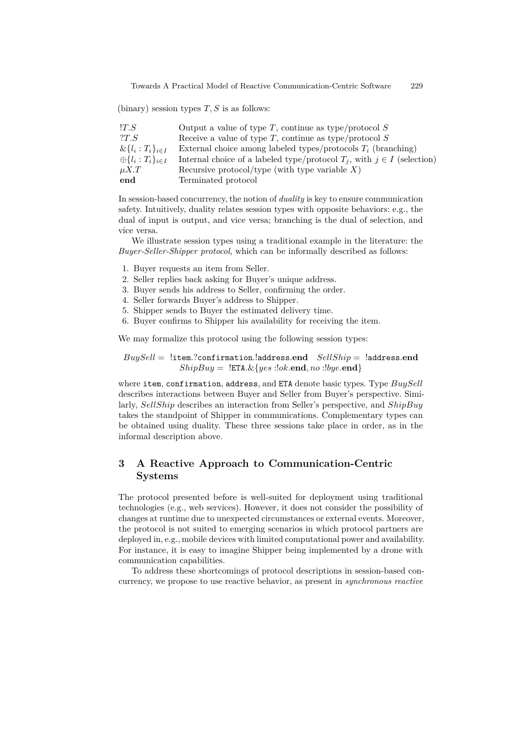Towards A Practical Model of Reactive Communication-Centric Software 229

(binary) session types *T, S* is as follows:

| !T.S                                | Output a value of type $T$ , continue as type/protocol $S$                    |
|-------------------------------------|-------------------------------------------------------------------------------|
| 2T.S                                | Receive a value of type T, continue as type/protocol $S$                      |
| $\&\{l_i: T_i\}_{i\in I}$           | External choice among labeled types/protocols $T_i$ (branching)               |
| $\bigoplus \{l_i : T_i\}_{i \in I}$ | Internal choice of a labeled type/protocol $T_i$ , with $j \in I$ (selection) |
| $\mu X.T$                           | Recursive protocol/type (with type variable $X$ )                             |
| end                                 | Terminated protocol                                                           |

In session-based concurrency, the notion of *duality* is key to ensure communication safety. Intuitively, duality relates session types with opposite behaviors: e.g., the dual of input is output, and vice versa; branching is the dual of selection, and vice versa.

We illustrate session types using a traditional example in the literature: the *Buyer-Seller-Shipper protocol*, which can be informally described as follows:

- 1. Buyer requests an item from Seller.
- 2. Seller replies back asking for Buyer's unique address.
- 3. Buyer sends his address to Seller, confirming the order.
- 4. Seller forwards Buyer's address to Shipper.
- 5. Shipper sends to Buyer the estimated delivery time.
- 6. Buyer confirms to Shipper his availability for receiving the item.

We may formalize this protocol using the following session types:

*BuySell* = !item*.*?confirmation*.*!address*.***end** *SellShip* = !address*.***end**  $ShipBuy = \{\texttt{ETA}.\&\{\textit{yes}:\textit{lok}.\textbf{end},\textit{no}:\textit{lyye}.\textbf{end}\}$ 

where item, confirmation, address, and ETA denote basic types. Type *BuySell* describes interactions between Buyer and Seller from Buyer's perspective. Similarly, *SellShip* describes an interaction from Seller's perspective, and *ShipBuy* takes the standpoint of Shipper in communications. Complementary types can be obtained using duality. These three sessions take place in order, as in the informal description above.

## **3 A Reactive Approach to Communication-Centric Systems**

The protocol presented before is well-suited for deployment using traditional technologies (e.g., web services). However, it does not consider the possibility of changes at runtime due to unexpected circumstances or external events. Moreover, the protocol is not suited to emerging scenarios in which protocol partners are deployed in, e.g., mobile devices with limited computational power and availability. For instance, it is easy to imagine Shipper being implemented by a drone with communication capabilities.

To address these shortcomings of protocol descriptions in session-based concurrency, we propose to use reactive behavior, as present in *synchronous reactive*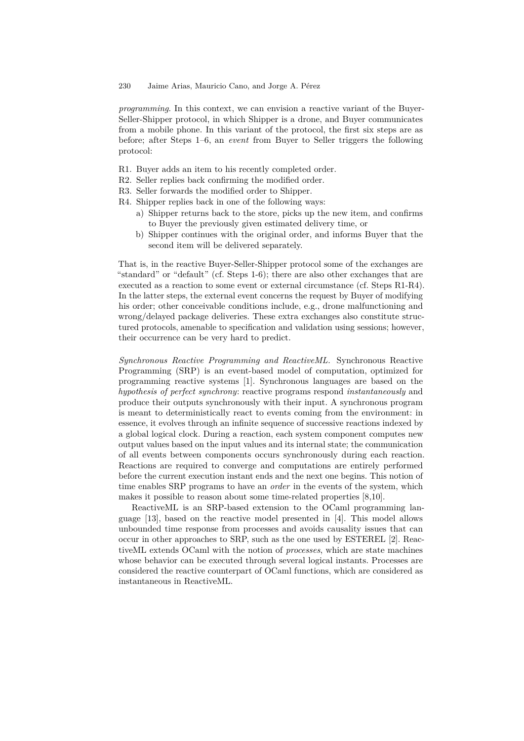#### 230 Jaime Arias, Mauricio Cano, and Jorge A. Pérez

*programming*. In this context, we can envision a reactive variant of the Buyer-Seller-Shipper protocol, in which Shipper is a drone, and Buyer communicates from a mobile phone. In this variant of the protocol, the first six steps are as before; after Steps 1–6, an *event* from Buyer to Seller triggers the following protocol:

- R1. Buyer adds an item to his recently completed order.
- R2. Seller replies back confirming the modified order.
- R3. Seller forwards the modified order to Shipper.
- R4. Shipper replies back in one of the following ways:
	- a) Shipper returns back to the store, picks up the new item, and confirms to Buyer the previously given estimated delivery time, or
	- b) Shipper continues with the original order, and informs Buyer that the second item will be delivered separately.

That is, in the reactive Buyer-Seller-Shipper protocol some of the exchanges are "standard" or "default" (cf. Steps 1-6); there are also other exchanges that are executed as a reaction to some event or external circumstance (cf. Steps R1-R4). In the latter steps, the external event concerns the request by Buyer of modifying his order; other conceivable conditions include, e.g., drone malfunctioning and wrong/delayed package deliveries. These extra exchanges also constitute structured protocols, amenable to specification and validation using sessions; however, their occurrence can be very hard to predict.

*Synchronous Reactive Programming and ReactiveML.* Synchronous Reactive Programming (SRP) is an event-based model of computation, optimized for programming reactive systems [\[1\]](#page-5-6). Synchronous languages are based on the *hypothesis of perfect synchrony*: reactive programs respond *instantaneously* and produce their outputs synchronously with their input. A synchronous program is meant to deterministically react to events coming from the environment: in essence, it evolves through an infinite sequence of successive reactions indexed by a global logical clock. During a reaction, each system component computes new output values based on the input values and its internal state; the communication of all events between components occurs synchronously during each reaction. Reactions are required to converge and computations are entirely performed before the current execution instant ends and the next one begins. This notion of time enables SRP programs to have an *order* in the events of the system, which makes it possible to reason about some time-related properties [\[8](#page-5-7)[,10\]](#page-5-8).

ReactiveML is an SRP-based extension to the OCaml programming language [\[13\]](#page-6-1), based on the reactive model presented in [\[4\]](#page-5-9). This model allows unbounded time response from processes and avoids causality issues that can occur in other approaches to SRP, such as the one used by ESTEREL [\[2\]](#page-5-10). ReactiveML extends OCaml with the notion of *processes*, which are state machines whose behavior can be executed through several logical instants. Processes are considered the reactive counterpart of OCaml functions, which are considered as instantaneous in ReactiveML.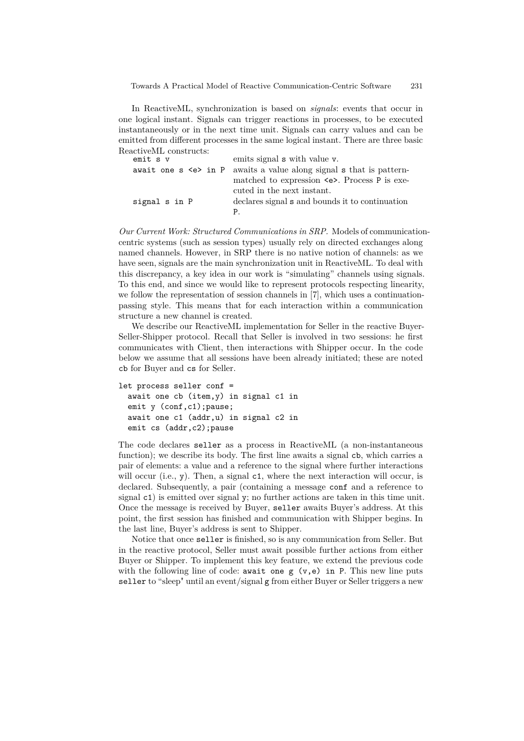In ReactiveML, synchronization is based on *signals*: events that occur in one logical instant. Signals can trigger reactions in processes, to be executed instantaneously or in the next time unit. Signals can carry values and can be emitted from different processes in the same logical instant. There are three basic ReactiveML constructs:

| emit s v      | emits signal <b>s</b> with value <b>v</b> .                                |
|---------------|----------------------------------------------------------------------------|
|               | await one $s \leq s$ in P awaits a value along signal $s$ that is pattern- |
|               | matched to expression $\leq$ >. Process P is exe-                          |
|               | cuted in the next instant.                                                 |
| signal s in P | declares signal s and bounds it to continuation                            |
|               | P                                                                          |

*Our Current Work: Structured Communications in SRP.* Models of communicationcentric systems (such as session types) usually rely on directed exchanges along named channels. However, in SRP there is no native notion of channels: as we have seen, signals are the main synchronization unit in ReactiveML. To deal with this discrepancy, a key idea in our work is "simulating" channels using signals. To this end, and since we would like to represent protocols respecting linearity, we follow the representation of session channels in [\[7\]](#page-5-11), which uses a continuationpassing style. This means that for each interaction within a communication structure a new channel is created.

We describe our ReactiveML implementation for Seller in the reactive Buyer-Seller-Shipper protocol. Recall that Seller is involved in two sessions: he first communicates with Client, then interactions with Shipper occur. In the code below we assume that all sessions have been already initiated; these are noted cb for Buyer and cs for Seller.

```
let process seller conf =
await one cb (item,y) in signal c1 in
emit y (conf,c1); pause;
await one c1 (addr,u) in signal c2 in
emit cs (addr, c2); pause
```
The code declares seller as a process in ReactiveML (a non-instantaneous function); we describe its body. The first line awaits a signal cb, which carries a pair of elements: a value and a reference to the signal where further interactions will occur (i.e., y). Then, a signal c1, where the next interaction will occur, is declared. Subsequently, a pair (containing a message conf and a reference to signal c1) is emitted over signal y; no further actions are taken in this time unit. Once the message is received by Buyer, seller awaits Buyer's address. At this point, the first session has finished and communication with Shipper begins. In the last line, Buyer's address is sent to Shipper.

Notice that once seller is finished, so is any communication from Seller. But in the reactive protocol, Seller must await possible further actions from either Buyer or Shipper. To implement this key feature, we extend the previous code with the following line of code: await one  $g(v,e)$  in P. This new line puts seller to "sleep" until an event/signal g from either Buyer or Seller triggers a new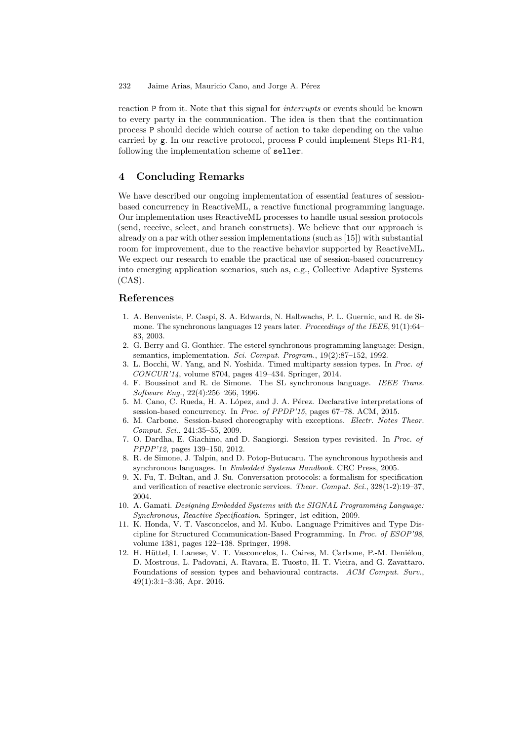reaction P from it. Note that this signal for *interrupts* or events should be known to every party in the communication. The idea is then that the continuation process P should decide which course of action to take depending on the value carried by g. In our reactive protocol, process P could implement Steps R1-R4, following the implementation scheme of seller.

#### **4 Concluding Remarks**

We have described our ongoing implementation of essential features of sessionbased concurrency in ReactiveML, a reactive functional programming language. Our implementation uses ReactiveML processes to handle usual session protocols (send, receive, select, and branch constructs). We believe that our approach is already on a par with other session implementations (such as [\[15\]](#page-6-3)) with substantial room for improvement, due to the reactive behavior supported by ReactiveML. We expect our research to enable the practical use of session-based concurrency into emerging application scenarios, such as, e.g., Collective Adaptive Systems  $(CAS)$ .

#### **References**

- <span id="page-5-6"></span>1. A. Benveniste, P. Caspi, S. A. Edwards, N. Halbwachs, P. L. Guernic, and R. de Simone. The synchronous languages 12 years later. *Proceedings of the IEEE*, 91(1):64– 83, 2003.
- <span id="page-5-10"></span>2. G. Berry and G. Gonthier. The esterel synchronous programming language: Design, semantics, implementation. *Sci. Comput. Program.*, 19(2):87–152, 1992.
- <span id="page-5-3"></span>3. L. Bocchi, W. Yang, and N. Yoshida. Timed multiparty session types. In *Proc. of CONCUR'14*, volume 8704, pages 419–434. Springer, 2014.
- <span id="page-5-9"></span>4. F. Boussinot and R. de Simone. The SL synchronous language. *IEEE Trans. Software Eng.*, 22(4):256–266, 1996.
- <span id="page-5-5"></span>5. M. Cano, C. Rueda, H. A. López, and J. A. Pérez. Declarative interpretations of session-based concurrency. In *Proc. of PPDP'15*, pages 67–78. ACM, 2015.
- <span id="page-5-2"></span>6. M. Carbone. Session-based choreography with exceptions. *Electr. Notes Theor. Comput. Sci.*, 241:35–55, 2009.
- <span id="page-5-11"></span>7. O. Dardha, E. Giachino, and D. Sangiorgi. Session types revisited. In *Proc. of PPDP'12*, pages 139–150, 2012.
- <span id="page-5-7"></span>8. R. de Simone, J. Talpin, and D. Potop-Butucaru. The synchronous hypothesis and synchronous languages. In *Embedded Systems Handbook.* CRC Press, 2005.
- <span id="page-5-4"></span>9. X. Fu, T. Bultan, and J. Su. Conversation protocols: a formalism for specification and verification of reactive electronic services. *Theor. Comput. Sci.*, 328(1-2):19–37, 2004.
- <span id="page-5-8"></span>10. A. Gamati. *Designing Embedded Systems with the SIGNAL Programming Language: Synchronous, Reactive Specification*. Springer, 1st edition, 2009.
- <span id="page-5-1"></span>11. K. Honda, V. T. Vasconcelos, and M. Kubo. Language Primitives and Type Discipline for Structured Communication-Based Programming. In *Proc. of ESOP'98*, volume 1381, pages 122–138. Springer, 1998.
- <span id="page-5-0"></span>12. H. Hüttel, I. Lanese, V. T. Vasconcelos, L. Caires, M. Carbone, P.-M. Deniélou, D. Mostrous, L. Padovani, A. Ravara, E. Tuosto, H. T. Vieira, and G. Zavattaro. Foundations of session types and behavioural contracts. *ACM Comput. Surv.*, 49(1):3:1–3:36, Apr. 2016.